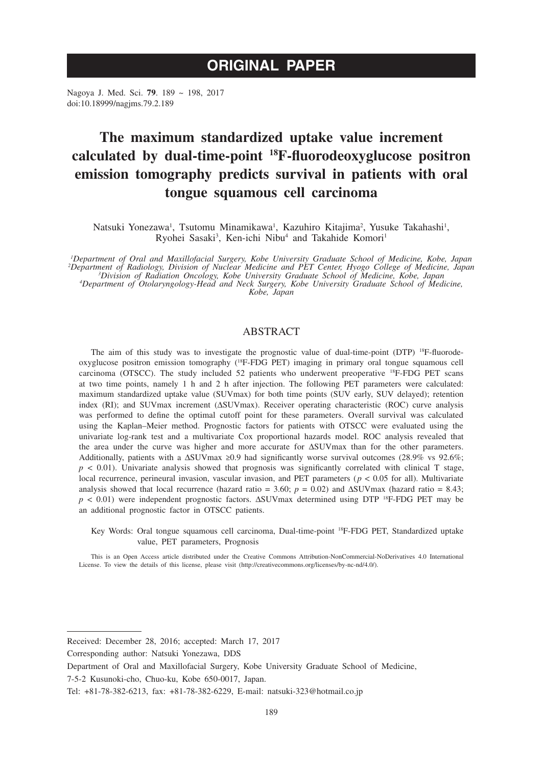# **ORIGINAL PAPER**

Nagoya J. Med. Sci. **79**. 189 ~ 198, 2017 doi:10.18999/nagjms.79.2.189

# **The maximum standardized uptake value increment calculated by dual-time-point 18F-fluorodeoxyglucose positron emission tomography predicts survival in patients with oral tongue squamous cell carcinoma**

Natsuki Yonezawa<sup>1</sup>, Tsutomu Minamikawa<sup>1</sup>, Kazuhiro Kitajima<sup>2</sup>, Yusuke Takahashi<sup>1</sup>, Ryohei Sasaki<sup>3</sup>, Ken-ichi Nibu<sup>4</sup> and Takahide Komori<sup>1</sup>

*1 Department of Oral and Maxillofacial Surgery, Kobe University Graduate School of Medicine, Kobe, Japan* <sup>2</sup>Department of Radiology, Division of Nuclear Medicine and PET Center, Hyogo College of Medicine, Japan<sup>3</sup><br><sup>3</sup>Division of Radiation Oncology, Kobe University Graduate School of Medicine, Kobe, Japan<sup>3</sup><br>4Department of Oto

# ABSTRACT

The aim of this study was to investigate the prognostic value of dual-time-point  $(DTP)$  <sup>18</sup>F-fluorodeoxyglucose positron emission tomography (18F-FDG PET) imaging in primary oral tongue squamous cell carcinoma (OTSCC). The study included 52 patients who underwent preoperative 18F-FDG PET scans at two time points, namely 1 h and 2 h after injection. The following PET parameters were calculated: maximum standardized uptake value (SUVmax) for both time points (SUV early, SUV delayed); retention index (RI); and SUVmax increment (ΔSUVmax). Receiver operating characteristic (ROC) curve analysis was performed to define the optimal cutoff point for these parameters. Overall survival was calculated using the Kaplan–Meier method. Prognostic factors for patients with OTSCC were evaluated using the univariate log-rank test and a multivariate Cox proportional hazards model. ROC analysis revealed that the area under the curve was higher and more accurate for ΔSUVmax than for the other parameters. Additionally, patients with a  $\Delta$ SUVmax ≥0.9 had significantly worse survival outcomes (28.9% vs 92.6%;  $p < 0.01$ ). Univariate analysis showed that prognosis was significantly correlated with clinical T stage, local recurrence, perineural invasion, vascular invasion, and PET parameters ( $p < 0.05$  for all). Multivariate analysis showed that local recurrence (hazard ratio = 3.60;  $p = 0.02$ ) and  $\Delta$ SUVmax (hazard ratio = 8.43; *p* < 0.01) were independent prognostic factors. ΔSUVmax determined using DTP <sup>18</sup>F-FDG PET may be an additional prognostic factor in OTSCC patients.

Key Words: Oral tongue squamous cell carcinoma, Dual-time-point 18F-FDG PET, Standardized uptake value, PET parameters, Prognosis

This is an Open Access article distributed under the Creative Commons Attribution-NonCommercial-NoDerivatives 4.0 International License. To view the details of this license, please visit (http://creativecommons.org/licenses/by-nc-nd/4.0/).

Received: December 28, 2016; accepted: March 17, 2017

Corresponding author: Natsuki Yonezawa, DDS

Department of Oral and Maxillofacial Surgery, Kobe University Graduate School of Medicine,

<sup>7-5-2</sup> Kusunoki-cho, Chuo-ku, Kobe 650-0017, Japan.

Tel: +81-78-382-6213, fax: +81-78-382-6229, E-mail: natsuki-323@hotmail.co.jp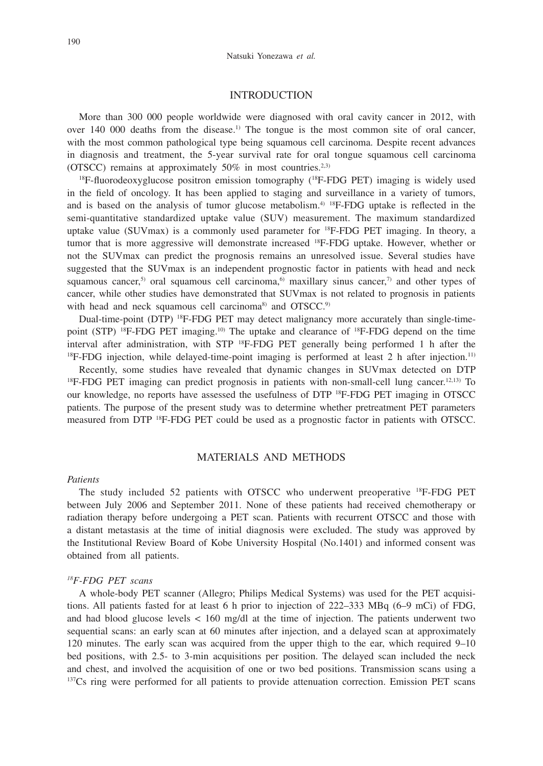## INTRODUCTION

More than 300 000 people worldwide were diagnosed with oral cavity cancer in 2012, with over  $140\ 000$  deaths from the disease.<sup>1)</sup> The tongue is the most common site of oral cancer, with the most common pathological type being squamous cell carcinoma. Despite recent advances in diagnosis and treatment, the 5-year survival rate for oral tongue squamous cell carcinoma (OTSCC) remains at approximately  $50\%$  in most countries.<sup>2,3)</sup>

 $18F$ -fluorodeoxyglucose positron emission tomography  $(^{18}F$ -FDG PET) imaging is widely used in the field of oncology. It has been applied to staging and surveillance in a variety of tumors, and is based on the analysis of tumor glucose metabolism.<sup> $4$ </sup> <sup>18</sup>F-FDG uptake is reflected in the semi-quantitative standardized uptake value (SUV) measurement. The maximum standardized uptake value (SUVmax) is a commonly used parameter for  ${}^{18}F$ -FDG PET imaging. In theory, a tumor that is more aggressive will demonstrate increased <sup>18</sup>F-FDG uptake. However, whether or not the SUVmax can predict the prognosis remains an unresolved issue. Several studies have suggested that the SUVmax is an independent prognostic factor in patients with head and neck squamous cancer,<sup>5)</sup> oral squamous cell carcinoma,<sup>6)</sup> maxillary sinus cancer,<sup>7)</sup> and other types of cancer, while other studies have demonstrated that SUVmax is not related to prognosis in patients with head and neck squamous cell carcinoma<sup>8)</sup> and OTSCC.<sup>9)</sup>

Dual-time-point (DTP) <sup>18</sup>F-FDG PET may detect malignancy more accurately than single-timepoint (STP)  $^{18}F$ -FDG PET imaging.<sup>10)</sup> The uptake and clearance of  $^{18}F$ -FDG depend on the time interval after administration, with STP <sup>18</sup>F-FDG PET generally being performed 1 h after the <sup>18</sup>F-FDG injection, while delayed-time-point imaging is performed at least 2 h after injection.<sup>11)</sup>

Recently, some studies have revealed that dynamic changes in SUVmax detected on DTP  $^{18}$ F-FDG PET imaging can predict prognosis in patients with non-small-cell lung cancer.<sup>12,13)</sup> To our knowledge, no reports have assessed the usefulness of DTP 18F-FDG PET imaging in OTSCC patients. The purpose of the present study was to determine whether pretreatment PET parameters measured from DTP 18F-FDG PET could be used as a prognostic factor in patients with OTSCC.

### MATERIALS AND METHODS

#### *Patients*

The study included 52 patients with OTSCC who underwent preoperative 18F-FDG PET between July 2006 and September 2011. None of these patients had received chemotherapy or radiation therapy before undergoing a PET scan. Patients with recurrent OTSCC and those with a distant metastasis at the time of initial diagnosis were excluded. The study was approved by the Institutional Review Board of Kobe University Hospital (No.1401) and informed consent was obtained from all patients.

#### *18F-FDG PET scans*

A whole-body PET scanner (Allegro; Philips Medical Systems) was used for the PET acquisitions. All patients fasted for at least 6 h prior to injection of 222–333 MBq (6–9 mCi) of FDG, and had blood glucose levels < 160 mg/dl at the time of injection. The patients underwent two sequential scans: an early scan at 60 minutes after injection, and a delayed scan at approximately 120 minutes. The early scan was acquired from the upper thigh to the ear, which required 9–10 bed positions, with 2.5- to 3-min acquisitions per position. The delayed scan included the neck and chest, and involved the acquisition of one or two bed positions. Transmission scans using a <sup>137</sup>Cs ring were performed for all patients to provide attenuation correction. Emission PET scans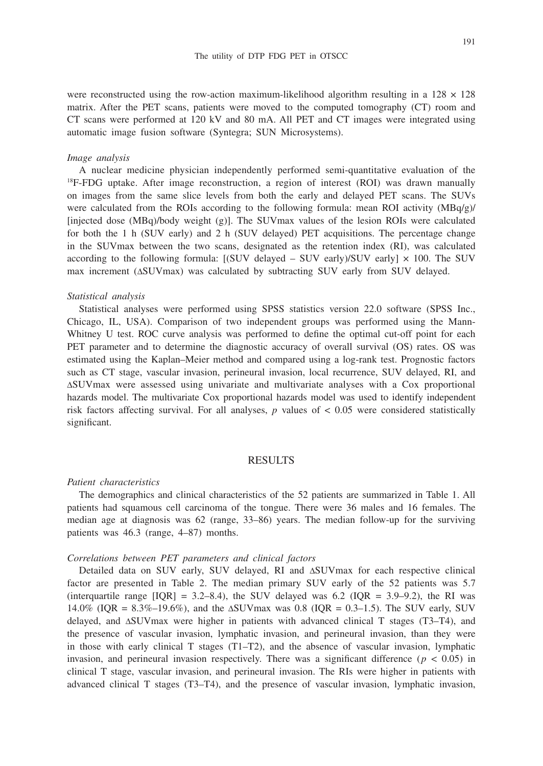191

were reconstructed using the row-action maximum-likelihood algorithm resulting in a  $128 \times 128$ matrix. After the PET scans, patients were moved to the computed tomography (CT) room and CT scans were performed at 120 kV and 80 mA. All PET and CT images were integrated using automatic image fusion software (Syntegra; SUN Microsystems).

### *Image analysis*

A nuclear medicine physician independently performed semi-quantitative evaluation of the 18F-FDG uptake. After image reconstruction, a region of interest (ROI) was drawn manually on images from the same slice levels from both the early and delayed PET scans. The SUVs were calculated from the ROIs according to the following formula: mean ROI activity (MBq/g)/ [injected dose (MBq)/body weight (g)]. The SUVmax values of the lesion ROIs were calculated for both the 1 h (SUV early) and 2 h (SUV delayed) PET acquisitions. The percentage change in the SUVmax between the two scans, designated as the retention index (RI), was calculated according to the following formula:  $[(SUV$  delayed – SUV early)/SUV early]  $\times$  100. The SUV max increment (ΔSUVmax) was calculated by subtracting SUV early from SUV delayed.

#### *Statistical analysis*

Statistical analyses were performed using SPSS statistics version 22.0 software (SPSS Inc., Chicago, IL, USA). Comparison of two independent groups was performed using the Mann-Whitney U test. ROC curve analysis was performed to define the optimal cut-off point for each PET parameter and to determine the diagnostic accuracy of overall survival (OS) rates. OS was estimated using the Kaplan–Meier method and compared using a log-rank test. Prognostic factors such as CT stage, vascular invasion, perineural invasion, local recurrence, SUV delayed, RI, and ΔSUVmax were assessed using univariate and multivariate analyses with a Cox proportional hazards model. The multivariate Cox proportional hazards model was used to identify independent risk factors affecting survival. For all analyses,  $p$  values of  $< 0.05$  were considered statistically significant.

#### RESULTS

#### *Patient characteristics*

The demographics and clinical characteristics of the 52 patients are summarized in Table 1. All patients had squamous cell carcinoma of the tongue. There were 36 males and 16 females. The median age at diagnosis was 62 (range, 33–86) years. The median follow-up for the surviving patients was 46.3 (range, 4–87) months.

#### *Correlations between PET parameters and clinical factors*

Detailed data on SUV early, SUV delayed, RI and ΔSUVmax for each respective clinical factor are presented in Table 2. The median primary SUV early of the 52 patients was 5.7 (interquartile range  $[IQR] = 3.2–8.4$ ), the SUV delayed was 6.2 ( $IQR = 3.9–9.2$ ), the RI was 14.0% (IQR = 8.3%–19.6%), and the ΔSUVmax was 0.8 (IQR = 0.3–1.5). The SUV early, SUV delayed, and ΔSUVmax were higher in patients with advanced clinical T stages (T3–T4), and the presence of vascular invasion, lymphatic invasion, and perineural invasion, than they were in those with early clinical T stages (T1–T2), and the absence of vascular invasion, lymphatic invasion, and perineural invasion respectively. There was a significant difference ( $p < 0.05$ ) in clinical T stage, vascular invasion, and perineural invasion. The RIs were higher in patients with advanced clinical T stages (T3–T4), and the presence of vascular invasion, lymphatic invasion,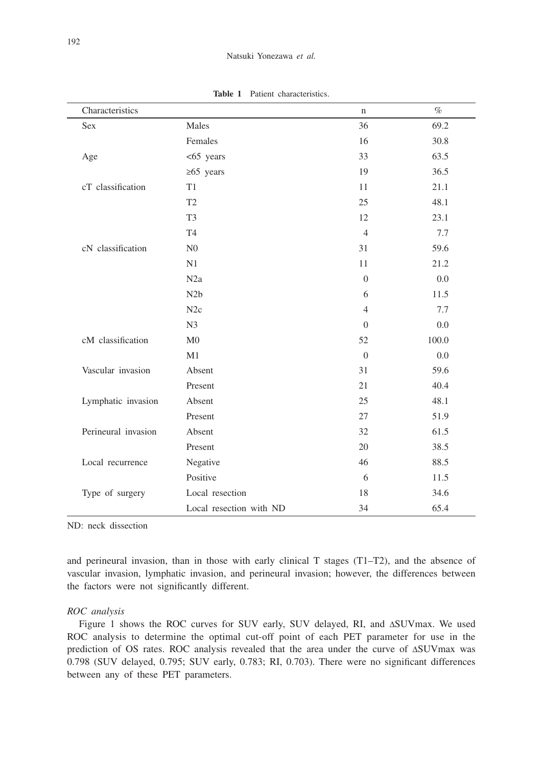| Characteristics     |                         | n                | $\%$  |
|---------------------|-------------------------|------------------|-------|
| <b>Sex</b>          | Males                   | 36               | 69.2  |
|                     | Females                 | 16               | 30.8  |
| Age                 | $<$ 65 years            | 33               | 63.5  |
|                     | $\geq 65$ years         | 19               | 36.5  |
| cT classification   | T1                      | 11               | 21.1  |
|                     | T <sub>2</sub>          | 25               | 48.1  |
|                     | T <sub>3</sub>          | 12               | 23.1  |
|                     | T <sub>4</sub>          | $\overline{4}$   | 7.7   |
| cN classification   | N <sub>0</sub>          | 31               | 59.6  |
|                     | N1                      | 11               | 21.2  |
|                     | N2a                     | $\boldsymbol{0}$ | 0.0   |
|                     | N <sub>2</sub> b        | 6                | 11.5  |
|                     | N2c                     | $\overline{4}$   | 7.7   |
|                     | N <sub>3</sub>          | $\overline{0}$   | 0.0   |
| cM classification   | $\rm M0$                | 52               | 100.0 |
|                     | M1                      | $\overline{0}$   | 0.0   |
| Vascular invasion   | Absent                  | 31               | 59.6  |
|                     | Present                 | 21               | 40.4  |
| Lymphatic invasion  | Absent                  | 25               | 48.1  |
|                     | Present                 | 27               | 51.9  |
| Perineural invasion | Absent                  | 32               | 61.5  |
|                     | Present                 | 20               | 38.5  |
| Local recurrence    | Negative                | 46               | 88.5  |
|                     | Positive                | 6                | 11.5  |
| Type of surgery     | Local resection         | 18               | 34.6  |
|                     | Local resection with ND | 34               | 65.4  |

**Table 1** Patient characteristics.

ND: neck dissection

and perineural invasion, than in those with early clinical T stages (T1–T2), and the absence of vascular invasion, lymphatic invasion, and perineural invasion; however, the differences between the factors were not significantly different.

#### *ROC analysis*

Figure 1 shows the ROC curves for SUV early, SUV delayed, RI, and ΔSUVmax. We used ROC analysis to determine the optimal cut-off point of each PET parameter for use in the prediction of OS rates. ROC analysis revealed that the area under the curve of ΔSUVmax was 0.798 (SUV delayed, 0.795; SUV early, 0.783; RI, 0.703). There were no significant differences between any of these PET parameters.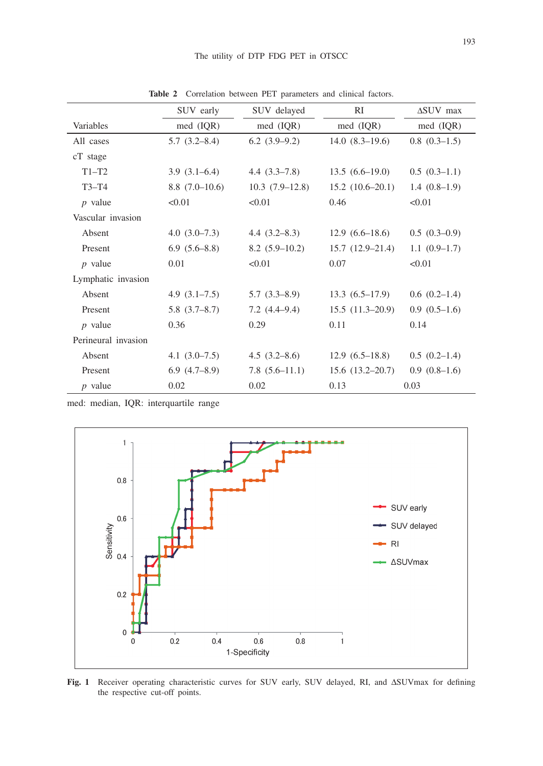|                     | SUV early         | SUV delayed      | RI                  | $\Delta$ SUV max |  |
|---------------------|-------------------|------------------|---------------------|------------------|--|
| Variables           | med (IQR)         | med (IQR)        | $med$ (IQR)         | $med$ (IQR)      |  |
| All cases           | 5.7(3.2–8.4)      | $6.2(3.9-9.2)$   | $14.0(8.3-19.6)$    | $0.8(0.3-1.5)$   |  |
| cT stage            |                   |                  |                     |                  |  |
| $T1-T2$             | $3.9(3.1-6.4)$    | $4.4(3.3-7.8)$   | $13.5(6.6-19.0)$    | $0.5(0.3-1.1)$   |  |
| $T3-T4$             | $8.8(7.0-10.6)$   | $10.3(7.9-12.8)$ | $15.2(10.6-20.1)$   | $1.4(0.8-1.9)$   |  |
| $p$ value           | < 0.01            | < 0.01           | 0.46                | < 0.01           |  |
| Vascular invasion   |                   |                  |                     |                  |  |
| Absent              | $4.0(3.0-7.3)$    | 4.4 $(3.2–8.3)$  | $12.9(6.6-18.6)$    | $0.5(0.3-0.9)$   |  |
| Present             | $6.9(5.6-8.8)$    | $8.2(5.9-10.2)$  | $15.7(12.9-21.4)$   | $1.1(0.9-1.7)$   |  |
| $p$ value           | 0.01              | < 0.01           | 0.07                | < 0.01           |  |
| Lymphatic invasion  |                   |                  |                     |                  |  |
| Absent              | 4.9 $(3.1–7.5)$   | $5.7(3.3-8.9)$   | $13.3(6.5-17.9)$    | $0.6(0.2-1.4)$   |  |
| Present             | 5.8(3.7–8.7)      | $7.2(4.4-9.4)$   | $15.5(11.3-20.9)$   | $0.9(0.5-1.6)$   |  |
| $p$ value           | 0.36              | 0.29             | 0.11                | 0.14             |  |
| Perineural invasion |                   |                  |                     |                  |  |
| Absent              | 4.1 $(3.0 - 7.5)$ | 4.5(3.2–8.6)     | $12.9(6.5-18.8)$    | $0.5(0.2-1.4)$   |  |
| Present             | 6.9(4.7–8.9)      | $7.8(5.6-11.1)$  | $15.6(13.2 - 20.7)$ | $0.9(0.8-1.6)$   |  |
| $p$ value           | 0.02              | 0.02             | 0.13                | 0.03             |  |

**Table 2** Correlation between PET parameters and clinical factors.

med: median, IQR: interquartile range



**Fig. 1** Receiver operating characteristic curves for SUV early, SUV delayed, RI, and ΔSUVmax for defining the respective cut-off points.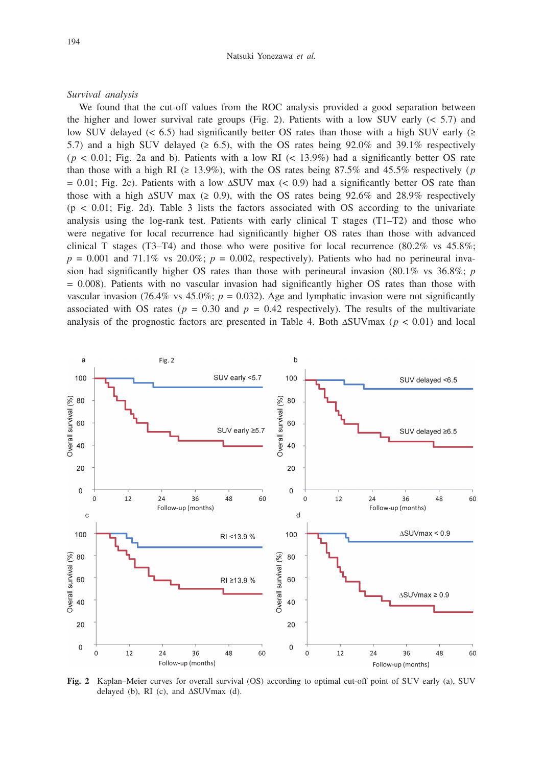#### *Survival analysis*

We found that the cut-off values from the ROC analysis provided a good separation between the higher and lower survival rate groups (Fig. 2). Patients with a low SUV early  $( $5.7$ )$  and low SUV delayed (< 6.5) had significantly better OS rates than those with a high SUV early ( $\geq$ 5.7) and a high SUV delayed ( $\geq 6.5$ ), with the OS rates being 92.0% and 39.1% respectively  $(p < 0.01$ ; Fig. 2a and b). Patients with a low RI  $(< 13.9\%)$  had a significantly better OS rate than those with a high RI ( $\geq 13.9\%$ ), with the OS rates being 87.5% and 45.5% respectively (*p*)  $= 0.01$ ; Fig. 2c). Patients with a low  $\Delta$ SUV max (< 0.9) had a significantly better OS rate than those with a high  $\Delta$ SUV max ( $\geq$  0.9), with the OS rates being 92.6% and 28.9% respectively  $(p < 0.01$ ; Fig. 2d). Table 3 lists the factors associated with OS according to the univariate analysis using the log-rank test. Patients with early clinical  $T$  stages ( $T1-T2$ ) and those who were negative for local recurrence had significantly higher OS rates than those with advanced clinical T stages (T3–T4) and those who were positive for local recurrence (80.2% vs  $45.8\%$ ;  $p = 0.001$  and 71.1% vs 20.0%;  $p = 0.002$ , respectively). Patients who had no perineural invasion had significantly higher OS rates than those with perineural invasion (80.1% vs 36.8%; *p* = 0.008). Patients with no vascular invasion had significantly higher OS rates than those with vascular invasion (76.4% vs  $45.0\%$ ;  $p = 0.032$ ). Age and lymphatic invasion were not significantly associated with OS rates ( $p = 0.30$  and  $p = 0.42$  respectively). The results of the multivariate analysis of the prognostic factors are presented in Table 4. Both ΔSUVmax (*p* < 0.01) and local



**Fig. 2** Kaplan–Meier curves for overall survival (OS) according to optimal cut-off point of SUV early (a), SUV delayed (b), RI (c), and  $\Delta$ SUVmax (d).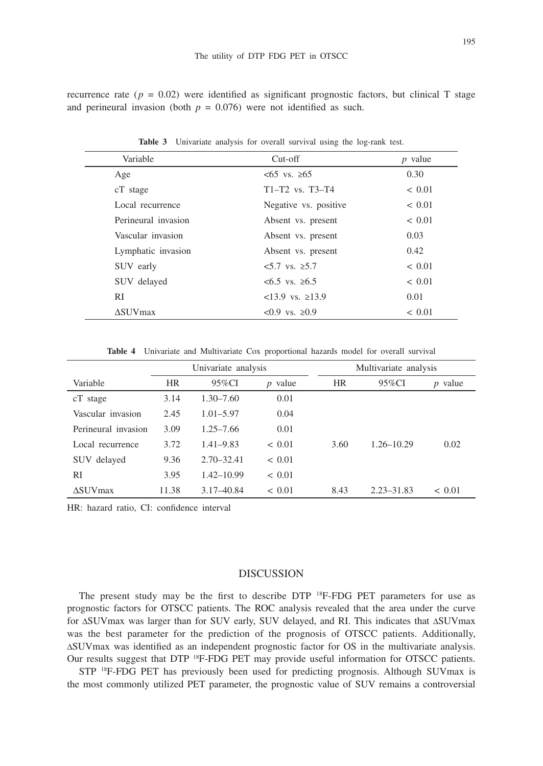recurrence rate ( $p = 0.02$ ) were identified as significant prognostic factors, but clinical T stage and perineural invasion (both  $p = 0.076$ ) were not identified as such.

| Variable            | $Cut-off$                | $p$ value  |
|---------------------|--------------------------|------------|
| Age                 | $<65$ vs. $>65$          | 0.30       |
| cT stage            | $T1 - T2$ vs. $T3 - T4$  | < 0.01     |
| Local recurrence    | Negative vs. positive    | ~< 0.01    |
| Perineural invasion | Absent vs. present       | ${}< 0.01$ |
| Vascular invasion   | Absent vs. present       | 0.03       |
| Lymphatic invasion  | Absent vs. present       | 0.42       |
| SUV early           | $5.7$ vs. ≥5.7           | ~< 0.01    |
| SUV delayed         | $<6.5$ vs. $>6.5$        | ~< 0.01    |
| RI                  | $<$ 13.9 vs. $\geq$ 13.9 | 0.01       |
| <b>ASUV</b> max     | $< 0.9$ vs. $\ge 0.9$    | ~< 0.01    |

**Table 3** Univariate analysis for overall survival using the log-rank test.

**Table 4** Univariate and Multivariate Cox proportional hazards model for overall survival

|                       | Univariate analysis |                | Multivariate analysis |      |                |            |
|-----------------------|---------------------|----------------|-----------------------|------|----------------|------------|
| Variable              | <b>HR</b>           | 95%CI          | $p$ value             | HR   | 95%CI          | $p$ value  |
| cT stage              | 3.14                | $1.30 - 7.60$  | 0.01                  |      |                |            |
| Vascular invasion     | 2.45                | $1.01 - 5.97$  | 0.04                  |      |                |            |
| Perineural invasion   | 3.09                | $1.25 - 7.66$  | 0.01                  |      |                |            |
| Local recurrence      | 3.72                | $1.41 - 9.83$  | ${}< 0.01$            | 3.60 | $1.26 - 10.29$ | 0.02       |
| delayed<br><b>SUV</b> | 9.36                | $2.70 - 32.41$ | < 0.01                |      |                |            |
| RI                    | 3.95                | $1.42 - 10.99$ | < 0.01                |      |                |            |
| <b>ASUV</b> max       | 11.38               | $3.17 - 40.84$ | < 0.01                | 8.43 | $2.23 - 31.83$ | ${}< 0.01$ |

HR: hazard ratio, CI: confidence interval

#### DISCUSSION

The present study may be the first to describe  $DTP$  <sup>18</sup>F-FDG PET parameters for use as prognostic factors for OTSCC patients. The ROC analysis revealed that the area under the curve for ΔSUVmax was larger than for SUV early, SUV delayed, and RI. This indicates that ΔSUVmax was the best parameter for the prediction of the prognosis of OTSCC patients. Additionally, ΔSUVmax was identified as an independent prognostic factor for OS in the multivariate analysis. Our results suggest that DTP <sup>18</sup>F-FDG PET may provide useful information for OTSCC patients.

STP 18F-FDG PET has previously been used for predicting prognosis. Although SUVmax is the most commonly utilized PET parameter, the prognostic value of SUV remains a controversial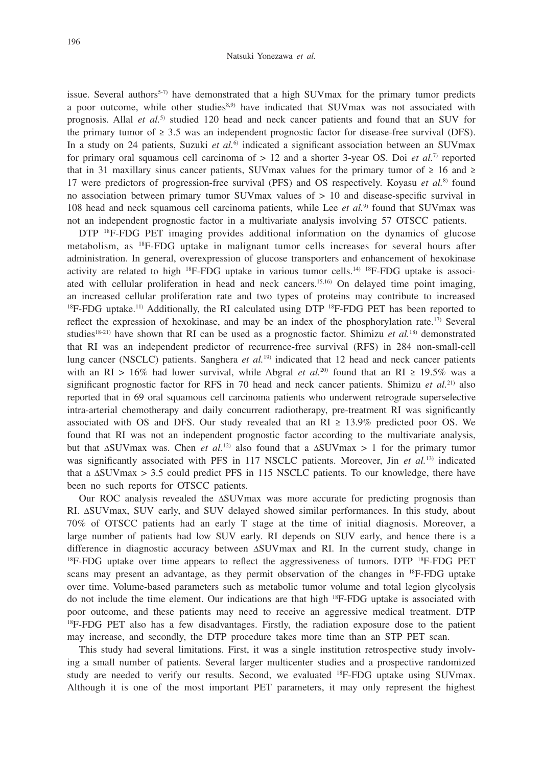issue. Several authors<sup>5.7)</sup> have demonstrated that a high SUV max for the primary tumor predicts a poor outcome, while other studies<sup>8,9)</sup> have indicated that SUVmax was not associated with prognosis. Allal *et al.*5) studied 120 head and neck cancer patients and found that an SUV for the primary tumor of  $\geq 3.5$  was an independent prognostic factor for disease-free survival (DFS). In a study on 24 patients, Suzuki *et al.*6) indicated a significant association between an SUVmax for primary oral squamous cell carcinoma of > 12 and a shorter 3-year OS. Doi *et al.*7) reported that in 31 maxillary sinus cancer patients, SUVmax values for the primary tumor of  $\geq 16$  and  $\geq$ 17 were predictors of progression-free survival (PFS) and OS respectively. Koyasu *et al.*8) found no association between primary tumor SUVmax values of > 10 and disease-specific survival in 108 head and neck squamous cell carcinoma patients, while Lee *et al.*9) found that SUVmax was not an independent prognostic factor in a multivariate analysis involving 57 OTSCC patients.

DTP 18F-FDG PET imaging provides additional information on the dynamics of glucose metabolism, as 18F-FDG uptake in malignant tumor cells increases for several hours after administration. In general, overexpression of glucose transporters and enhancement of hexokinase activity are related to high  ${}^{18}F$ -FDG uptake in various tumor cells.<sup>14)  ${}^{18}F$ -FDG uptake is associ-</sup> ated with cellular proliferation in head and neck cancers.15,16) On delayed time point imaging, an increased cellular proliferation rate and two types of proteins may contribute to increased  $18F-FDG$  uptake.<sup>11)</sup> Additionally, the RI calculated using DTP  $18F-FDG$  PET has been reported to reflect the expression of hexokinase, and may be an index of the phosphorylation rate.<sup>17)</sup> Several studies<sup>18-21)</sup> have shown that RI can be used as a prognostic factor. Shimizu *et al.*<sup>18)</sup> demonstrated that RI was an independent predictor of recurrence-free survival (RFS) in 284 non-small-cell lung cancer (NSCLC) patients. Sanghera *et al.*19) indicated that 12 head and neck cancer patients with an RI > 16% had lower survival, while Abgral *et al.*<sup>20)</sup> found that an RI  $\geq$  19.5% was a significant prognostic factor for RFS in 70 head and neck cancer patients. Shimizu *et al.*21) also reported that in 69 oral squamous cell carcinoma patients who underwent retrograde superselective intra-arterial chemotherapy and daily concurrent radiotherapy, pre-treatment RI was significantly associated with OS and DFS. Our study revealed that an  $RI \geq 13.9\%$  predicted poor OS. We found that RI was not an independent prognostic factor according to the multivariate analysis, but that  $\Delta$ SUVmax was. Chen *et al.*<sup>12)</sup> also found that a  $\Delta$ SUVmax > 1 for the primary tumor was significantly associated with PFS in 117 NSCLC patients. Moreover, Jin *et al.*<sup>13)</sup> indicated that a ΔSUVmax > 3.5 could predict PFS in 115 NSCLC patients. To our knowledge, there have been no such reports for OTSCC patients.

Our ROC analysis revealed the ΔSUVmax was more accurate for predicting prognosis than RI. ΔSUVmax, SUV early, and SUV delayed showed similar performances. In this study, about 70% of OTSCC patients had an early T stage at the time of initial diagnosis. Moreover, a large number of patients had low SUV early. RI depends on SUV early, and hence there is a difference in diagnostic accuracy between ΔSUVmax and RI. In the current study, change in 18F-FDG uptake over time appears to reflect the aggressiveness of tumors. DTP 18F-FDG PET scans may present an advantage, as they permit observation of the changes in <sup>18</sup>F-FDG uptake over time. Volume-based parameters such as metabolic tumor volume and total legion glycolysis do not include the time element. Our indications are that high <sup>18</sup>F-FDG uptake is associated with poor outcome, and these patients may need to receive an aggressive medical treatment. DTP 18F-FDG PET also has a few disadvantages. Firstly, the radiation exposure dose to the patient may increase, and secondly, the DTP procedure takes more time than an STP PET scan.

This study had several limitations. First, it was a single institution retrospective study involving a small number of patients. Several larger multicenter studies and a prospective randomized study are needed to verify our results. Second, we evaluated 18F-FDG uptake using SUVmax. Although it is one of the most important PET parameters, it may only represent the highest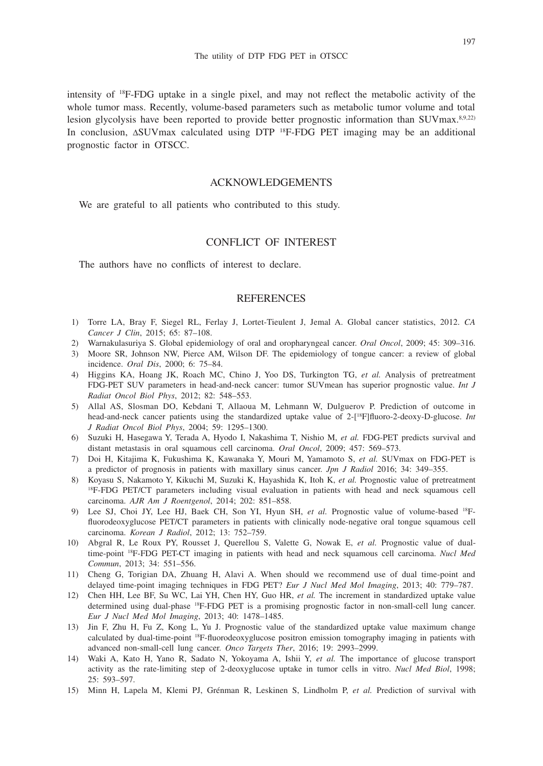intensity of 18F-FDG uptake in a single pixel, and may not reflect the metabolic activity of the whole tumor mass. Recently, volume-based parameters such as metabolic tumor volume and total lesion glycolysis have been reported to provide better prognostic information than SUVmax.<sup>8,9,22)</sup> In conclusion, ΔSUVmax calculated using DTP 18F-FDG PET imaging may be an additional prognostic factor in OTSCC.

## ACKNOWLEDGEMENTS

We are grateful to all patients who contributed to this study.

# CONFLICT OF INTEREST

The authors have no conflicts of interest to declare.

## **REFERENCES**

- 1) Torre LA, Bray F, Siegel RL, Ferlay J, Lortet-Tieulent J, Jemal A. Global cancer statistics, 2012. *CA Cancer J Clin*, 2015; 65: 87–108.
- 2) Warnakulasuriya S. Global epidemiology of oral and oropharyngeal cancer. *Oral Oncol*, 2009; 45: 309–316.
- 3) Moore SR, Johnson NW, Pierce AM, Wilson DF. The epidemiology of tongue cancer: a review of global incidence. *Oral Dis*, 2000; 6: 75–84.
- 4) Higgins KA, Hoang JK, Roach MC, Chino J, Yoo DS, Turkington TG, *et al.* Analysis of pretreatment FDG-PET SUV parameters in head-and-neck cancer: tumor SUVmean has superior prognostic value. *Int J Radiat Oncol Biol Phys*, 2012; 82: 548–553.
- 5) Allal AS, Slosman DO, Kebdani T, Allaoua M, Lehmann W, Dulguerov P. Prediction of outcome in head-and-neck cancer patients using the standardized uptake value of 2-[18F]fluoro-2-deoxy-D-glucose. *Int J Radiat Oncol Biol Phys*, 2004; 59: 1295–1300.
- 6) Suzuki H, Hasegawa Y, Terada A, Hyodo I, Nakashima T, Nishio M, *et al.* FDG-PET predicts survival and distant metastasis in oral squamous cell carcinoma. *Oral Oncol*, 2009; 457: 569–573.
- 7) Doi H, Kitajima K, Fukushima K, Kawanaka Y, Mouri M, Yamamoto S, *et al.* SUVmax on FDG-PET is a predictor of prognosis in patients with maxillary sinus cancer. *Jpn J Radiol* 2016; 34: 349–355.
- 8) Koyasu S, Nakamoto Y, Kikuchi M, Suzuki K, Hayashida K, Itoh K, *et al.* Prognostic value of pretreatment 18F-FDG PET/CT parameters including visual evaluation in patients with head and neck squamous cell carcinoma. *AJR Am J Roentgenol*, 2014; 202: 851–858.
- 9) Lee SJ, Choi JY, Lee HJ, Baek CH, Son YI, Hyun SH, *et al.* Prognostic value of volume-based 18Ffluorodeoxyglucose PET/CT parameters in patients with clinically node-negative oral tongue squamous cell carcinoma. *Korean J Radiol*, 2012; 13: 752–759.
- 10) Abgral R, Le Roux PY, Rousset J, Querellou S, Valette G, Nowak E, *et al.* Prognostic value of dualtime-point 18F-FDG PET-CT imaging in patients with head and neck squamous cell carcinoma. *Nucl Med Commun*, 2013; 34: 551–556.
- 11) Cheng G, Torigian DA, Zhuang H, Alavi A. When should we recommend use of dual time-point and delayed time-point imaging techniques in FDG PET? *Eur J Nucl Med Mol Imaging*, 2013; 40: 779–787.
- 12) Chen HH, Lee BF, Su WC, Lai YH, Chen HY, Guo HR, *et al.* The increment in standardized uptake value determined using dual-phase 18F-FDG PET is a promising prognostic factor in non-small-cell lung cancer. *Eur J Nucl Med Mol Imaging*, 2013; 40: 1478–1485.
- 13) Jin F, Zhu H, Fu Z, Kong L, Yu J. Prognostic value of the standardized uptake value maximum change calculated by dual-time-point 18F-fluorodeoxyglucose positron emission tomography imaging in patients with advanced non-small-cell lung cancer. *Onco Targets Ther*, 2016; 19: 2993–2999.
- 14) Waki A, Kato H, Yano R, Sadato N, Yokoyama A, Ishii Y, *et al.* The importance of glucose transport activity as the rate-limiting step of 2-deoxyglucose uptake in tumor cells in vitro. *Nucl Med Biol*, 1998; 25: 593–597.
- 15) Minn H, Lapela M, Klemi PJ, Grénman R, Leskinen S, Lindholm P, *et al.* Prediction of survival with